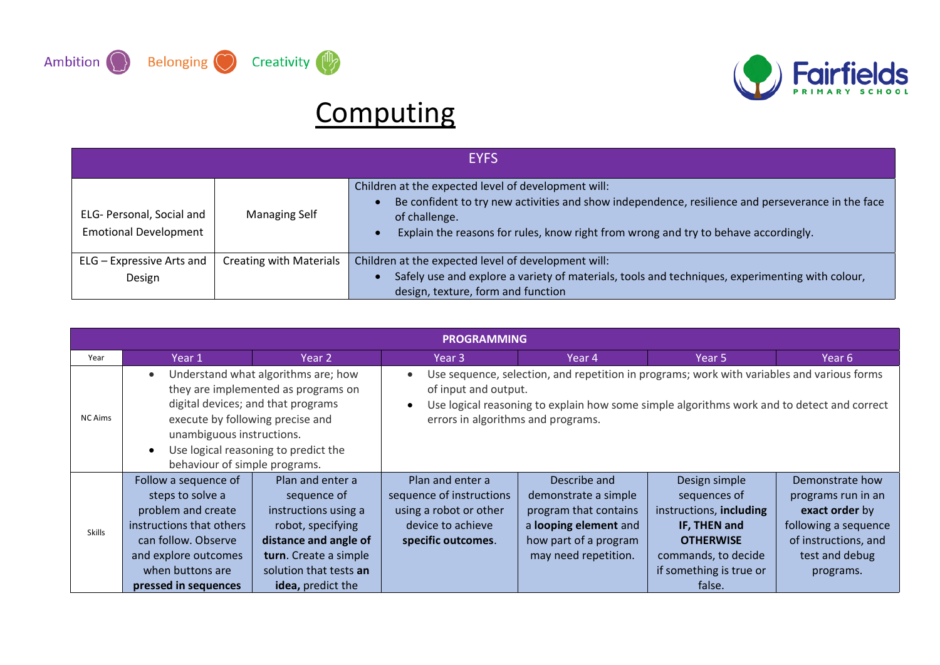



## **Computing**

|                                                           | <b>EYFS</b>                    |                                                                                                                                                                                                                                                                  |  |  |  |  |  |  |
|-----------------------------------------------------------|--------------------------------|------------------------------------------------------------------------------------------------------------------------------------------------------------------------------------------------------------------------------------------------------------------|--|--|--|--|--|--|
| ELG- Personal, Social and<br><b>Emotional Development</b> | <b>Managing Self</b>           | Children at the expected level of development will:<br>Be confident to try new activities and show independence, resilience and perseverance in the face<br>of challenge.<br>Explain the reasons for rules, know right from wrong and try to behave accordingly. |  |  |  |  |  |  |
| ELG - Expressive Arts and<br>Design                       | <b>Creating with Materials</b> | Children at the expected level of development will:<br>Safely use and explore a variety of materials, tools and techniques, experimenting with colour,                                                                                                           |  |  |  |  |  |  |
|                                                           |                                | design, texture, form and function                                                                                                                                                                                                                               |  |  |  |  |  |  |

|                                                                                                                                                                                                                                                                                                        | <b>PROGRAMMING</b>                                                                                                                                                                    |                                                                                                                                                                               |                                                                                                                                                                                          |                                                                                                                                         |                                                                                                                                                          |                                                                                                                                        |  |  |
|--------------------------------------------------------------------------------------------------------------------------------------------------------------------------------------------------------------------------------------------------------------------------------------------------------|---------------------------------------------------------------------------------------------------------------------------------------------------------------------------------------|-------------------------------------------------------------------------------------------------------------------------------------------------------------------------------|------------------------------------------------------------------------------------------------------------------------------------------------------------------------------------------|-----------------------------------------------------------------------------------------------------------------------------------------|----------------------------------------------------------------------------------------------------------------------------------------------------------|----------------------------------------------------------------------------------------------------------------------------------------|--|--|
| Year                                                                                                                                                                                                                                                                                                   | Year 1                                                                                                                                                                                | Year 2                                                                                                                                                                        | Year 3                                                                                                                                                                                   | Year 4                                                                                                                                  | Year 5                                                                                                                                                   | Year 6                                                                                                                                 |  |  |
| Understand what algorithms are; how<br>$\bullet$<br>they are implemented as programs on<br>digital devices; and that programs<br><b>NC Aims</b><br>execute by following precise and<br>unambiguous instructions.<br>Use logical reasoning to predict the<br>$\bullet$<br>behaviour of simple programs. |                                                                                                                                                                                       | of input and output.<br>errors in algorithms and programs.                                                                                                                    | Use sequence, selection, and repetition in programs; work with variables and various forms<br>Use logical reasoning to explain how some simple algorithms work and to detect and correct |                                                                                                                                         |                                                                                                                                                          |                                                                                                                                        |  |  |
| <b>Skills</b>                                                                                                                                                                                                                                                                                          | Follow a sequence of<br>steps to solve a<br>problem and create<br>instructions that others<br>can follow. Observe<br>and explore outcomes<br>when buttons are<br>pressed in sequences | Plan and enter a<br>sequence of<br>instructions using a<br>robot, specifying<br>distance and angle of<br>turn. Create a simple<br>solution that tests an<br>idea, predict the | Plan and enter a<br>sequence of instructions<br>using a robot or other<br>device to achieve<br>specific outcomes.                                                                        | Describe and<br>demonstrate a simple<br>program that contains<br>a looping element and<br>how part of a program<br>may need repetition. | Design simple<br>sequences of<br>instructions, including<br>IF, THEN and<br><b>OTHERWISE</b><br>commands, to decide<br>if something is true or<br>false. | Demonstrate how<br>programs run in an<br>exact order by<br>following a sequence<br>of instructions, and<br>test and debug<br>programs. |  |  |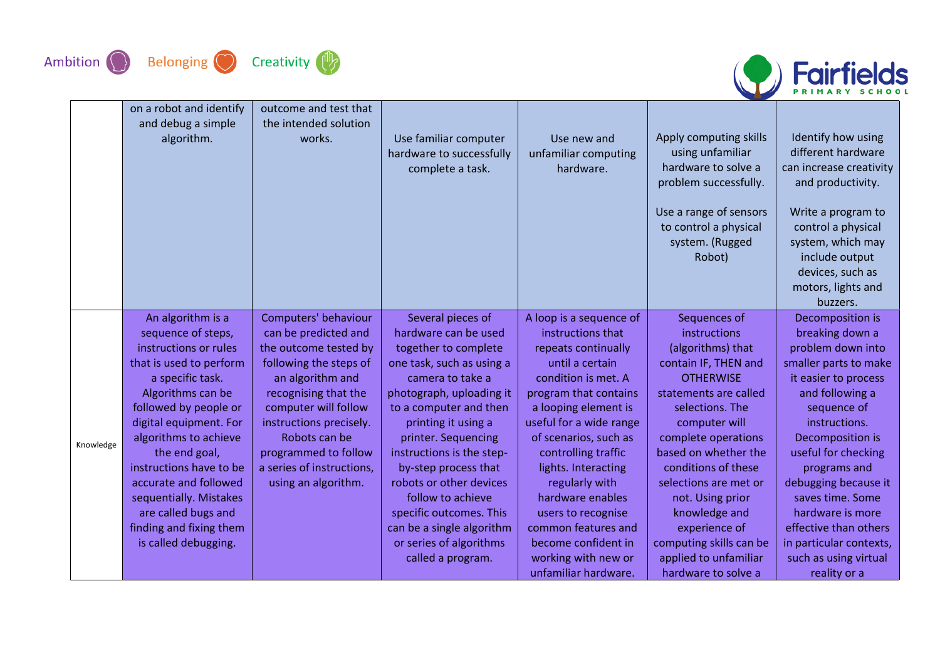



|           | on a robot and identify<br>and debug a simple<br>algorithm. | outcome and test that<br>the intended solution<br>works. | Use familiar computer<br>hardware to successfully<br>complete a task. | Use new and<br>unfamiliar computing<br>hardware. | Apply computing skills<br>using unfamiliar<br>hardware to solve a<br>problem successfully.<br>Use a range of sensors<br>to control a physical<br>system. (Rugged<br>Robot) | Identify how using<br>different hardware<br>can increase creativity<br>and productivity.<br>Write a program to<br>control a physical<br>system, which may<br>include output<br>devices, such as<br>motors, lights and<br>buzzers. |
|-----------|-------------------------------------------------------------|----------------------------------------------------------|-----------------------------------------------------------------------|--------------------------------------------------|----------------------------------------------------------------------------------------------------------------------------------------------------------------------------|-----------------------------------------------------------------------------------------------------------------------------------------------------------------------------------------------------------------------------------|
|           | An algorithm is a<br>sequence of steps,                     | Computers' behaviour<br>can be predicted and             | Several pieces of<br>hardware can be used                             | A loop is a sequence of<br>instructions that     | Sequences of<br>instructions                                                                                                                                               | Decomposition is<br>breaking down a                                                                                                                                                                                               |
|           | instructions or rules                                       | the outcome tested by                                    | together to complete                                                  | repeats continually                              | (algorithms) that                                                                                                                                                          | problem down into                                                                                                                                                                                                                 |
|           | that is used to perform                                     | following the steps of                                   | one task, such as using a                                             | until a certain                                  | contain IF, THEN and                                                                                                                                                       | smaller parts to make                                                                                                                                                                                                             |
|           | a specific task.                                            | an algorithm and                                         | camera to take a                                                      | condition is met. A                              | <b>OTHERWISE</b>                                                                                                                                                           | it easier to process                                                                                                                                                                                                              |
|           | Algorithms can be                                           | recognising that the                                     | photograph, uploading it                                              | program that contains                            | statements are called                                                                                                                                                      | and following a                                                                                                                                                                                                                   |
|           | followed by people or                                       | computer will follow                                     | to a computer and then                                                | a looping element is                             | selections. The                                                                                                                                                            | sequence of                                                                                                                                                                                                                       |
|           | digital equipment. For                                      | instructions precisely.                                  | printing it using a                                                   | useful for a wide range                          | computer will                                                                                                                                                              | instructions.                                                                                                                                                                                                                     |
|           | algorithms to achieve                                       | Robots can be                                            | printer. Sequencing                                                   | of scenarios, such as                            | complete operations                                                                                                                                                        | Decomposition is                                                                                                                                                                                                                  |
| Knowledge | the end goal,                                               | programmed to follow                                     | instructions is the step-                                             | controlling traffic                              | based on whether the                                                                                                                                                       | useful for checking                                                                                                                                                                                                               |
|           | instructions have to be                                     | a series of instructions,                                | by-step process that                                                  | lights. Interacting                              | conditions of these                                                                                                                                                        | programs and                                                                                                                                                                                                                      |
|           | accurate and followed                                       | using an algorithm.                                      | robots or other devices                                               | regularly with                                   | selections are met or                                                                                                                                                      | debugging because it                                                                                                                                                                                                              |
|           | sequentially. Mistakes                                      |                                                          | follow to achieve                                                     | hardware enables                                 | not. Using prior                                                                                                                                                           | saves time. Some                                                                                                                                                                                                                  |
|           | are called bugs and                                         |                                                          | specific outcomes. This                                               | users to recognise                               | knowledge and                                                                                                                                                              | hardware is more                                                                                                                                                                                                                  |
|           | finding and fixing them                                     |                                                          | can be a single algorithm                                             | common features and                              | experience of                                                                                                                                                              | effective than others                                                                                                                                                                                                             |
|           | is called debugging.                                        |                                                          | or series of algorithms                                               | become confident in                              | computing skills can be                                                                                                                                                    | in particular contexts,                                                                                                                                                                                                           |
|           |                                                             |                                                          | called a program.                                                     | working with new or                              | applied to unfamiliar                                                                                                                                                      | such as using virtual                                                                                                                                                                                                             |
|           |                                                             |                                                          |                                                                       | unfamiliar hardware.                             | hardware to solve a                                                                                                                                                        | reality or a                                                                                                                                                                                                                      |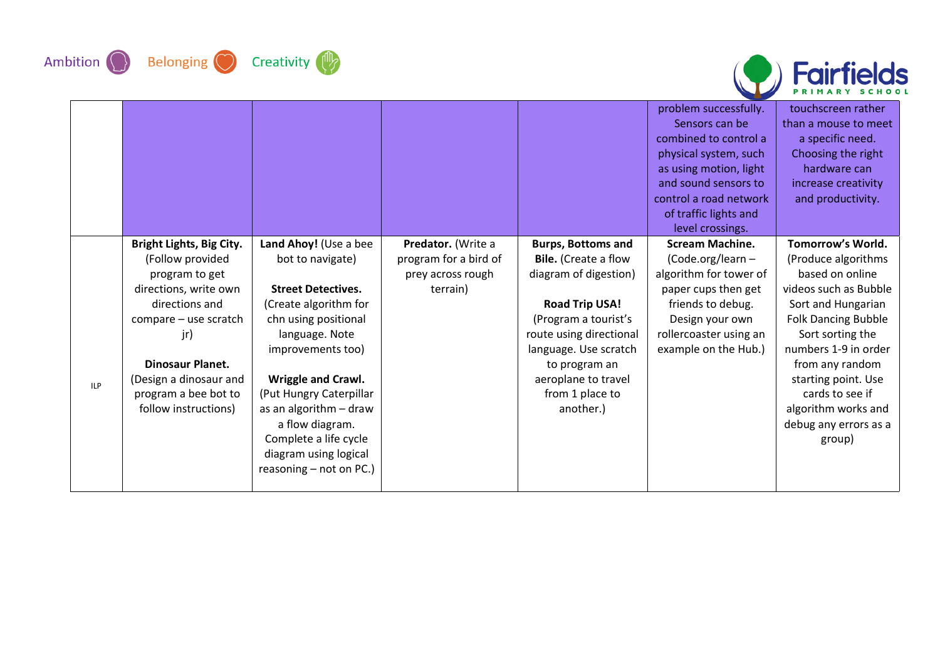







|     |                          |                           |                       |                             | problem successfully.  | touchscreen rather         |
|-----|--------------------------|---------------------------|-----------------------|-----------------------------|------------------------|----------------------------|
|     |                          |                           |                       |                             | Sensors can be         | than a mouse to meet       |
|     |                          |                           |                       |                             | combined to control a  | a specific need.           |
|     |                          |                           |                       |                             | physical system, such  | Choosing the right         |
|     |                          |                           |                       |                             | as using motion, light | hardware can               |
|     |                          |                           |                       |                             | and sound sensors to   | increase creativity        |
|     |                          |                           |                       |                             | control a road network | and productivity.          |
|     |                          |                           |                       |                             | of traffic lights and  |                            |
|     |                          |                           |                       |                             | level crossings.       |                            |
|     | Bright Lights, Big City. | Land Ahoy! (Use a bee     | Predator. (Write a    | <b>Burps, Bottoms and</b>   | <b>Scream Machine.</b> | Tomorrow's World.          |
|     | (Follow provided         | bot to navigate)          | program for a bird of | <b>Bile.</b> (Create a flow | (Code.org/learn-       | (Produce algorithms        |
|     | program to get           |                           | prey across rough     | diagram of digestion)       | algorithm for tower of | based on online            |
|     | directions, write own    | <b>Street Detectives.</b> | terrain)              |                             | paper cups then get    | videos such as Bubble      |
|     | directions and           | (Create algorithm for     |                       | <b>Road Trip USA!</b>       | friends to debug.      | Sort and Hungarian         |
|     | compare - use scratch    | chn using positional      |                       | (Program a tourist's        | Design your own        | <b>Folk Dancing Bubble</b> |
|     | jr)                      | language. Note            |                       | route using directional     | rollercoaster using an | Sort sorting the           |
|     |                          | improvements too)         |                       | language. Use scratch       | example on the Hub.)   | numbers 1-9 in order       |
|     | <b>Dinosaur Planet.</b>  |                           |                       | to program an               |                        | from any random            |
| ILP | (Design a dinosaur and   | Wriggle and Crawl.        |                       | aeroplane to travel         |                        | starting point. Use        |
|     | program a bee bot to     | (Put Hungry Caterpillar   |                       | from 1 place to             |                        | cards to see if            |
|     | follow instructions)     | as an algorithm - draw    |                       | another.)                   |                        | algorithm works and        |
|     |                          | a flow diagram.           |                       |                             |                        | debug any errors as a      |
|     |                          | Complete a life cycle     |                       |                             |                        | group)                     |
|     |                          | diagram using logical     |                       |                             |                        |                            |
|     |                          | reasoning $-$ not on PC.) |                       |                             |                        |                            |
|     |                          |                           |                       |                             |                        |                            |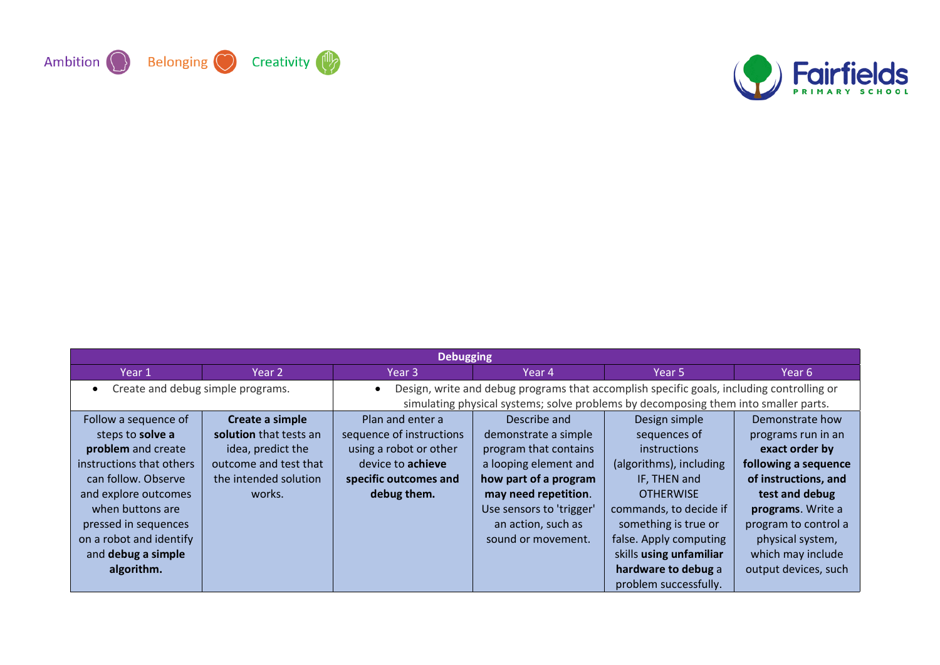



| <b>Debugging</b>                               |                        |                          |                                                                                           |                         |                      |  |  |
|------------------------------------------------|------------------------|--------------------------|-------------------------------------------------------------------------------------------|-------------------------|----------------------|--|--|
| Year 1                                         | Year 2                 | Year 3                   | Year 4                                                                                    | Year 5                  | Year 6               |  |  |
| Create and debug simple programs.<br>$\bullet$ |                        | $\bullet$                | Design, write and debug programs that accomplish specific goals, including controlling or |                         |                      |  |  |
|                                                |                        |                          | simulating physical systems; solve problems by decomposing them into smaller parts.       |                         |                      |  |  |
| Follow a sequence of                           | Create a simple        | Plan and enter a         | Describe and                                                                              | Design simple           | Demonstrate how      |  |  |
| steps to solve a                               | solution that tests an | sequence of instructions | demonstrate a simple                                                                      | sequences of            | programs run in an   |  |  |
| problem and create                             | idea, predict the      | using a robot or other   | program that contains                                                                     | <i>instructions</i>     | exact order by       |  |  |
| instructions that others                       | outcome and test that  | device to <b>achieve</b> | a looping element and                                                                     | (algorithms), including | following a sequence |  |  |
| can follow. Observe                            | the intended solution  | specific outcomes and    | how part of a program                                                                     | IF, THEN and            | of instructions, and |  |  |
| and explore outcomes                           | works.                 | debug them.              | may need repetition.                                                                      | <b>OTHERWISE</b>        | test and debug       |  |  |
| when buttons are                               |                        |                          | Use sensors to 'trigger'                                                                  | commands, to decide if  | programs. Write a    |  |  |
| pressed in sequences                           |                        |                          | an action, such as                                                                        | something is true or    | program to control a |  |  |
| on a robot and identify                        |                        |                          | sound or movement.                                                                        | false. Apply computing  | physical system,     |  |  |
| and debug a simple                             |                        |                          |                                                                                           | skills using unfamiliar | which may include    |  |  |
| algorithm.                                     |                        |                          |                                                                                           | hardware to debug a     | output devices, such |  |  |
|                                                |                        |                          |                                                                                           | problem successfully.   |                      |  |  |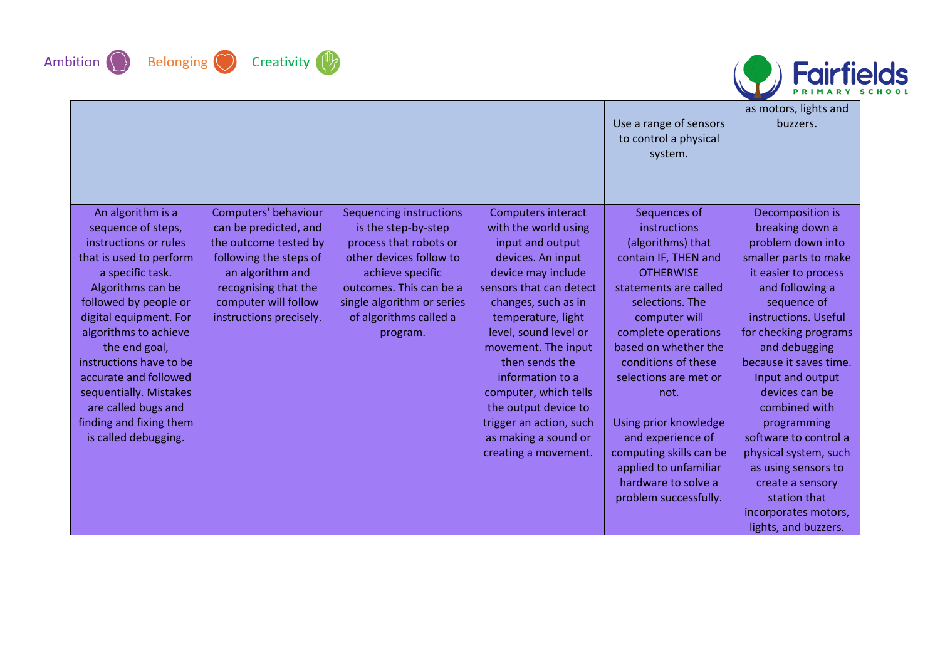









|                         |                         |                            |                           | Use a range of sensors<br>to control a physical<br>system. | as motors, lights and<br>buzzers. |
|-------------------------|-------------------------|----------------------------|---------------------------|------------------------------------------------------------|-----------------------------------|
| An algorithm is a       | Computers' behaviour    | Sequencing instructions    | <b>Computers interact</b> | Sequences of                                               | Decomposition is                  |
| sequence of steps,      | can be predicted, and   | is the step-by-step        | with the world using      | instructions                                               | breaking down a                   |
| instructions or rules   | the outcome tested by   | process that robots or     | input and output          | (algorithms) that                                          | problem down into                 |
| that is used to perform | following the steps of  | other devices follow to    | devices. An input         | contain IF, THEN and                                       | smaller parts to make             |
| a specific task.        | an algorithm and        | achieve specific           | device may include        | <b>OTHERWISE</b>                                           | it easier to process              |
| Algorithms can be       | recognising that the    | outcomes. This can be a    | sensors that can detect   | statements are called                                      | and following a                   |
| followed by people or   | computer will follow    | single algorithm or series | changes, such as in       | selections. The                                            | sequence of                       |
| digital equipment. For  | instructions precisely. | of algorithms called a     | temperature, light        | computer will                                              | instructions. Useful              |
| algorithms to achieve   |                         | program.                   | level, sound level or     | complete operations                                        | for checking programs             |
| the end goal,           |                         |                            | movement. The input       | based on whether the                                       | and debugging                     |
| instructions have to be |                         |                            | then sends the            | conditions of these                                        | because it saves time.            |
| accurate and followed   |                         |                            | information to a          | selections are met or                                      | Input and output                  |
| sequentially. Mistakes  |                         |                            | computer, which tells     | not.                                                       | devices can be                    |
| are called bugs and     |                         |                            | the output device to      |                                                            | combined with                     |
| finding and fixing them |                         |                            | trigger an action, such   | Using prior knowledge                                      | programming                       |
| is called debugging.    |                         |                            | as making a sound or      | and experience of                                          | software to control a             |
|                         |                         |                            | creating a movement.      | computing skills can be                                    | physical system, such             |
|                         |                         |                            |                           | applied to unfamiliar                                      | as using sensors to               |
|                         |                         |                            |                           | hardware to solve a                                        | create a sensory                  |
|                         |                         |                            |                           | problem successfully.                                      | station that                      |
|                         |                         |                            |                           |                                                            | incorporates motors,              |
|                         |                         |                            |                           |                                                            | lights, and buzzers.              |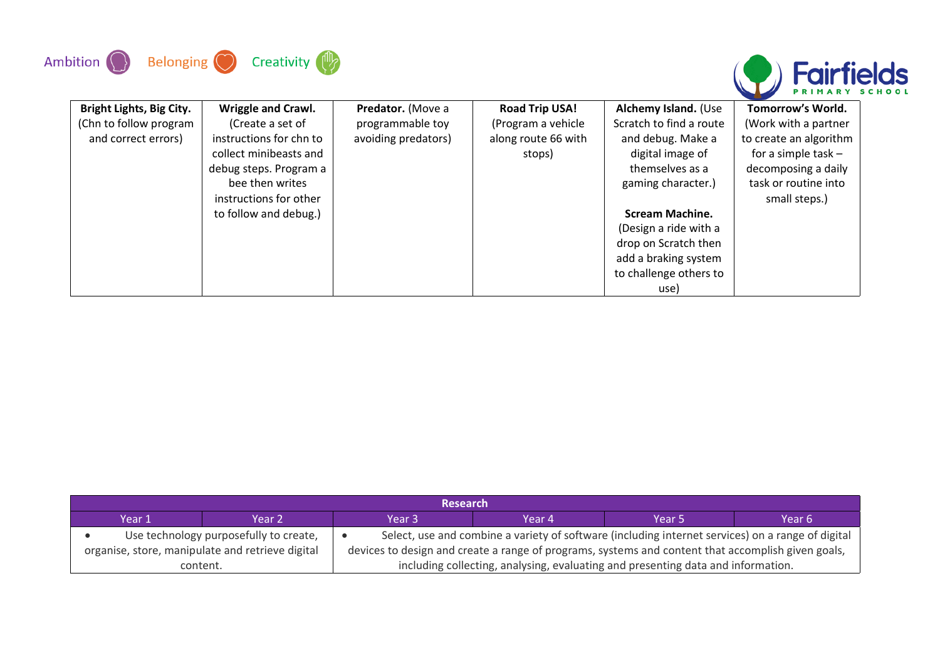



| <b>Bright Lights, Big City.</b> | <b>Wriggle and Crawl.</b> | Predator. (Move a   | <b>Road Trip USA!</b> | Alchemy Island. (Use    | Tomorrow's World.      |
|---------------------------------|---------------------------|---------------------|-----------------------|-------------------------|------------------------|
| (Chn to follow program          | (Create a set of          | programmable toy    | (Program a vehicle    | Scratch to find a route | (Work with a partner   |
| and correct errors)             | instructions for chn to   | avoiding predators) | along route 66 with   | and debug. Make a       | to create an algorithm |
|                                 | collect minibeasts and    |                     | stops)                | digital image of        | for a simple task $-$  |
|                                 | debug steps. Program a    |                     |                       | themselves as a         | decomposing a daily    |
|                                 | bee then writes           |                     |                       | gaming character.)      | task or routine into   |
|                                 | instructions for other    |                     |                       |                         | small steps.)          |
|                                 | to follow and debug.)     |                     |                       | <b>Scream Machine.</b>  |                        |
|                                 |                           |                     |                       | (Design a ride with a   |                        |
|                                 |                           |                     |                       | drop on Scratch then    |                        |
|                                 |                           |                     |                       | add a braking system    |                        |
|                                 |                           |                     |                       | to challenge others to  |                        |
|                                 |                           |                     |                       | use)                    |                        |

| <b>Research</b> |                                                                                                                                             |                                                                                                    |        |                   |        |  |  |  |
|-----------------|---------------------------------------------------------------------------------------------------------------------------------------------|----------------------------------------------------------------------------------------------------|--------|-------------------|--------|--|--|--|
| Year 1          | Year 2                                                                                                                                      | Year 3                                                                                             | Year 4 | Year <sub>5</sub> | Year 6 |  |  |  |
|                 | Select, use and combine a variety of software (including internet services) on a range of digital<br>Use technology purposefully to create, |                                                                                                    |        |                   |        |  |  |  |
|                 | organise, store, manipulate and retrieve digital                                                                                            | devices to design and create a range of programs, systems and content that accomplish given goals, |        |                   |        |  |  |  |
|                 | including collecting, analysing, evaluating and presenting data and information.<br>content.                                                |                                                                                                    |        |                   |        |  |  |  |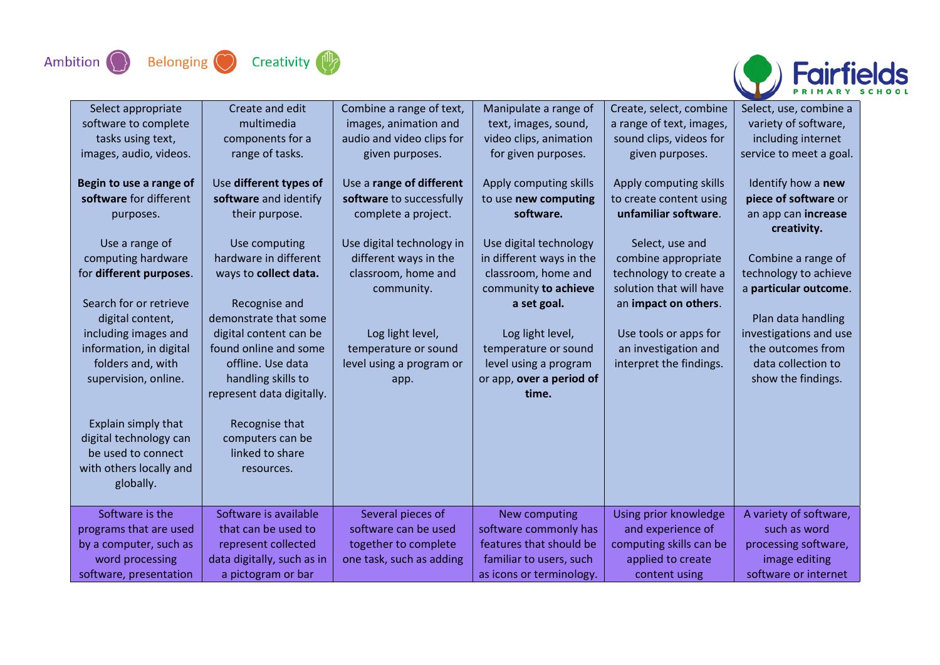



| Select appropriate      | Create and edit            | Combine a range of text,  | Manipulate a range of    | Create, select, combine  | Select, use, combine a  |
|-------------------------|----------------------------|---------------------------|--------------------------|--------------------------|-------------------------|
| software to complete    | multimedia                 | images, animation and     | text, images, sound,     | a range of text, images, | variety of software,    |
| tasks using text,       | components for a           | audio and video clips for | video clips, animation   | sound clips, videos for  | including internet      |
| images, audio, videos.  | range of tasks.            | given purposes.           | for given purposes.      | given purposes.          | service to meet a goal. |
|                         |                            |                           |                          |                          |                         |
| Begin to use a range of | Use different types of     | Use a range of different  | Apply computing skills   | Apply computing skills   | Identify how a new      |
| software for different  | software and identify      | software to successfully  | to use new computing     | to create content using  | piece of software or    |
| purposes.               | their purpose.             | complete a project.       | software.                | unfamiliar software.     | an app can increase     |
|                         |                            |                           |                          |                          | creativity.             |
| Use a range of          | Use computing              | Use digital technology in | Use digital technology   | Select, use and          |                         |
| computing hardware      | hardware in different      | different ways in the     | in different ways in the | combine appropriate      | Combine a range of      |
| for different purposes. | ways to collect data.      | classroom, home and       | classroom, home and      | technology to create a   | technology to achieve   |
|                         |                            | community.                | community to achieve     | solution that will have  | a particular outcome.   |
| Search for or retrieve  | Recognise and              |                           | a set goal.              | an impact on others.     |                         |
| digital content,        | demonstrate that some      |                           |                          |                          | Plan data handling      |
| including images and    | digital content can be     | Log light level,          | Log light level,         | Use tools or apps for    | investigations and use  |
| information, in digital | found online and some      | temperature or sound      | temperature or sound     | an investigation and     | the outcomes from       |
| folders and, with       | offline. Use data          | level using a program or  | level using a program    | interpret the findings.  | data collection to      |
| supervision, online.    | handling skills to         | app.                      | or app, over a period of |                          | show the findings.      |
|                         | represent data digitally.  |                           | time.                    |                          |                         |
|                         |                            |                           |                          |                          |                         |
| Explain simply that     | Recognise that             |                           |                          |                          |                         |
| digital technology can  | computers can be           |                           |                          |                          |                         |
| be used to connect      | linked to share            |                           |                          |                          |                         |
| with others locally and | resources.                 |                           |                          |                          |                         |
| globally.               |                            |                           |                          |                          |                         |
|                         |                            |                           |                          |                          |                         |
| Software is the         | Software is available      | Several pieces of         | New computing            | Using prior knowledge    | A variety of software,  |
| programs that are used  | that can be used to        | software can be used      | software commonly has    | and experience of        | such as word            |
| by a computer, such as  | represent collected        | together to complete      | features that should be  | computing skills can be  | processing software,    |
| word processing         | data digitally, such as in | one task, such as adding  | familiar to users, such  | applied to create        | image editing           |
| software, presentation  | a pictogram or bar         |                           | as icons or terminology. | content using            | software or internet    |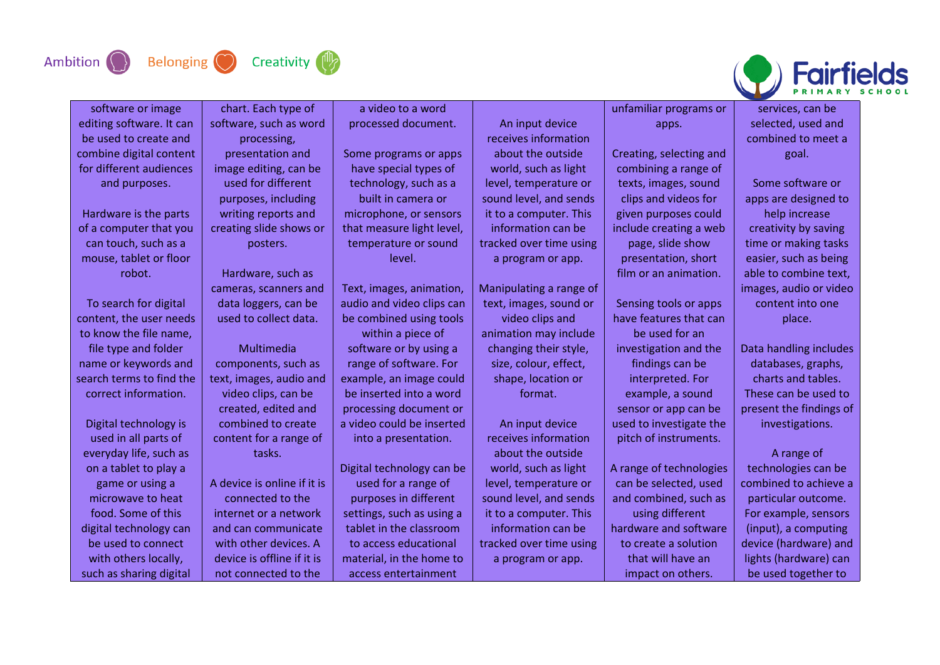





| software or image        | chart. Each type of         | a video to a word         |                         | unfamiliar programs or  | services, can be        |
|--------------------------|-----------------------------|---------------------------|-------------------------|-------------------------|-------------------------|
| editing software. It can | software, such as word      | processed document.       | An input device         | apps.                   | selected, used and      |
| be used to create and    | processing,                 |                           | receives information    |                         | combined to meet a      |
| combine digital content  | presentation and            | Some programs or apps     | about the outside       | Creating, selecting and | goal.                   |
| for different audiences  | image editing, can be       | have special types of     | world, such as light    | combining a range of    |                         |
| and purposes.            | used for different          | technology, such as a     | level, temperature or   | texts, images, sound    | Some software or        |
|                          | purposes, including         | built in camera or        | sound level, and sends  | clips and videos for    | apps are designed to    |
| Hardware is the parts    | writing reports and         | microphone, or sensors    | it to a computer. This  | given purposes could    | help increase           |
| of a computer that you   | creating slide shows or     | that measure light level, | information can be      | include creating a web  | creativity by saving    |
| can touch, such as a     | posters.                    | temperature or sound      | tracked over time using | page, slide show        | time or making tasks    |
| mouse, tablet or floor   |                             | level.                    | a program or app.       | presentation, short     | easier, such as being   |
| robot.                   | Hardware, such as           |                           |                         | film or an animation.   | able to combine text,   |
|                          | cameras, scanners and       | Text, images, animation,  | Manipulating a range of |                         | images, audio or video  |
| To search for digital    | data loggers, can be        | audio and video clips can | text, images, sound or  | Sensing tools or apps   | content into one        |
| content, the user needs  | used to collect data.       | be combined using tools   | video clips and         | have features that can  | place.                  |
| to know the file name,   |                             | within a piece of         | animation may include   | be used for an          |                         |
| file type and folder     | Multimedia                  | software or by using a    | changing their style,   | investigation and the   | Data handling includes  |
| name or keywords and     | components, such as         | range of software. For    | size, colour, effect,   | findings can be         | databases, graphs,      |
| search terms to find the | text, images, audio and     | example, an image could   | shape, location or      | interpreted. For        | charts and tables.      |
| correct information.     | video clips, can be         | be inserted into a word   | format.                 | example, a sound        | These can be used to    |
|                          | created, edited and         | processing document or    |                         | sensor or app can be    | present the findings of |
| Digital technology is    | combined to create          | a video could be inserted | An input device         | used to investigate the | investigations.         |
| used in all parts of     | content for a range of      | into a presentation.      | receives information    | pitch of instruments.   |                         |
| everyday life, such as   | tasks.                      |                           | about the outside       |                         | A range of              |
| on a tablet to play a    |                             | Digital technology can be | world, such as light    | A range of technologies | technologies can be     |
| game or using a          | A device is online if it is | used for a range of       | level, temperature or   | can be selected, used   | combined to achieve a   |
| microwave to heat        | connected to the            | purposes in different     | sound level, and sends  | and combined, such as   | particular outcome.     |
| food. Some of this       | internet or a network       | settings, such as using a | it to a computer. This  | using different         | For example, sensors    |
| digital technology can   | and can communicate         | tablet in the classroom   | information can be      | hardware and software   | (input), a computing    |
| be used to connect       | with other devices. A       | to access educational     | tracked over time using | to create a solution    | device (hardware) and   |
| with others locally,     | device is offline if it is  | material, in the home to  | a program or app.       | that will have an       | lights (hardware) can   |
| such as sharing digital  | not connected to the        | access entertainment      |                         | impact on others.       | be used together to     |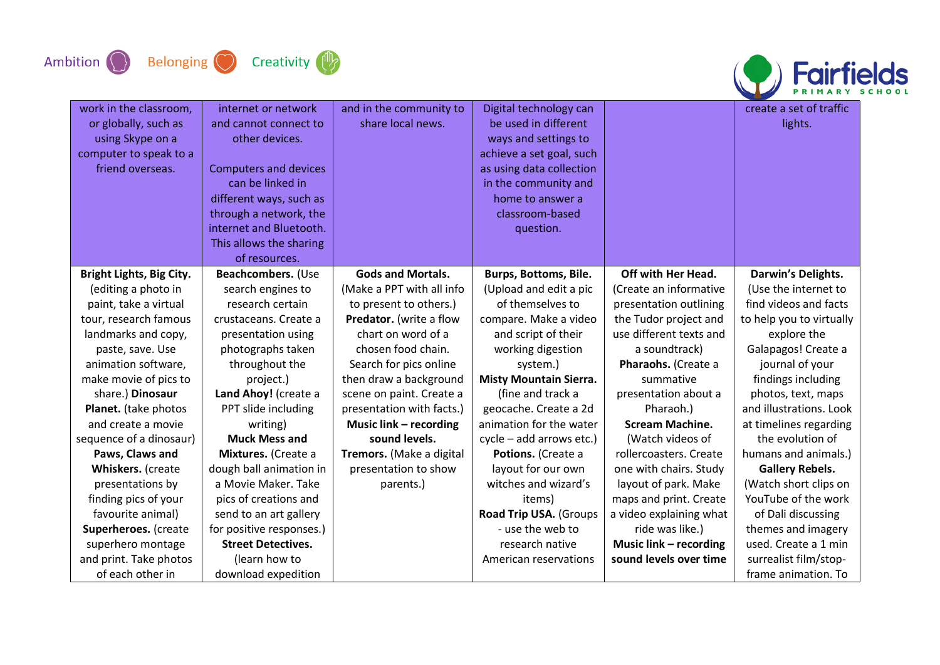



| work in the classroom,<br>or globally, such as<br>using Skype on a<br>computer to speak to a<br>friend overseas. | internet or network<br>and cannot connect to<br>other devices.<br><b>Computers and devices</b><br>can be linked in<br>different ways, such as<br>through a network, the<br>internet and Bluetooth.<br>This allows the sharing<br>of resources. | and in the community to<br>share local news. | Digital technology can<br>be used in different<br>ways and settings to<br>achieve a set goal, such<br>as using data collection<br>in the community and<br>home to answer a<br>classroom-based<br>question. |                               | create a set of traffic<br>lights. |
|------------------------------------------------------------------------------------------------------------------|------------------------------------------------------------------------------------------------------------------------------------------------------------------------------------------------------------------------------------------------|----------------------------------------------|------------------------------------------------------------------------------------------------------------------------------------------------------------------------------------------------------------|-------------------------------|------------------------------------|
| Bright Lights, Big City.                                                                                         | Beachcombers. (Use                                                                                                                                                                                                                             | <b>Gods and Mortals.</b>                     | Burps, Bottoms, Bile.                                                                                                                                                                                      | Off with Her Head.            | Darwin's Delights.                 |
| (editing a photo in                                                                                              | search engines to                                                                                                                                                                                                                              | (Make a PPT with all info                    | (Upload and edit a pic                                                                                                                                                                                     | (Create an informative        | (Use the internet to               |
| paint, take a virtual                                                                                            | research certain                                                                                                                                                                                                                               | to present to others.)                       | of themselves to                                                                                                                                                                                           | presentation outlining        | find videos and facts              |
| tour, research famous                                                                                            | crustaceans. Create a                                                                                                                                                                                                                          | Predator. (write a flow                      | compare. Make a video                                                                                                                                                                                      | the Tudor project and         | to help you to virtually           |
| landmarks and copy,                                                                                              | presentation using                                                                                                                                                                                                                             | chart on word of a                           | and script of their                                                                                                                                                                                        | use different texts and       | explore the                        |
| paste, save. Use                                                                                                 | photographs taken                                                                                                                                                                                                                              | chosen food chain.                           | working digestion                                                                                                                                                                                          | a soundtrack)                 | Galapagos! Create a                |
| animation software,                                                                                              | throughout the                                                                                                                                                                                                                                 | Search for pics online                       | system.)                                                                                                                                                                                                   | Pharaohs. (Create a           | journal of your                    |
| make movie of pics to                                                                                            | project.)                                                                                                                                                                                                                                      | then draw a background                       | <b>Misty Mountain Sierra.</b>                                                                                                                                                                              | summative                     | findings including                 |
| share.) Dinosaur                                                                                                 | Land Ahoy! (create a                                                                                                                                                                                                                           | scene on paint. Create a                     | (fine and track a                                                                                                                                                                                          | presentation about a          | photos, text, maps                 |
| Planet. (take photos                                                                                             | PPT slide including                                                                                                                                                                                                                            | presentation with facts.)                    | geocache. Create a 2d                                                                                                                                                                                      | Pharaoh.)                     | and illustrations. Look            |
| and create a movie                                                                                               | writing)                                                                                                                                                                                                                                       | <b>Music link - recording</b>                | animation for the water                                                                                                                                                                                    | <b>Scream Machine.</b>        | at timelines regarding             |
| sequence of a dinosaur)                                                                                          | <b>Muck Mess and</b>                                                                                                                                                                                                                           | sound levels.                                | cycle - add arrows etc.)                                                                                                                                                                                   | (Watch videos of              | the evolution of                   |
| Paws, Claws and                                                                                                  | Mixtures. (Create a                                                                                                                                                                                                                            | Tremors. (Make a digital                     | Potions. (Create a                                                                                                                                                                                         | rollercoasters. Create        | humans and animals.)               |
| Whiskers. (create                                                                                                | dough ball animation in                                                                                                                                                                                                                        | presentation to show                         | layout for our own                                                                                                                                                                                         | one with chairs. Study        | <b>Gallery Rebels.</b>             |
| presentations by                                                                                                 | a Movie Maker. Take                                                                                                                                                                                                                            | parents.)                                    | witches and wizard's                                                                                                                                                                                       | layout of park. Make          | (Watch short clips on              |
| finding pics of your                                                                                             | pics of creations and                                                                                                                                                                                                                          |                                              | items)                                                                                                                                                                                                     | maps and print. Create        | YouTube of the work                |
| favourite animal)                                                                                                | send to an art gallery                                                                                                                                                                                                                         |                                              | Road Trip USA. (Groups                                                                                                                                                                                     | a video explaining what       | of Dali discussing                 |
| Superheroes. (create                                                                                             | for positive responses.)                                                                                                                                                                                                                       |                                              | - use the web to                                                                                                                                                                                           | ride was like.)               | themes and imagery                 |
| superhero montage                                                                                                | <b>Street Detectives.</b>                                                                                                                                                                                                                      |                                              | research native                                                                                                                                                                                            | <b>Music link - recording</b> | used. Create a 1 min               |
| and print. Take photos                                                                                           | (learn how to                                                                                                                                                                                                                                  |                                              | American reservations                                                                                                                                                                                      | sound levels over time        | surrealist film/stop-              |
| of each other in                                                                                                 | download expedition                                                                                                                                                                                                                            |                                              |                                                                                                                                                                                                            |                               | frame animation. To                |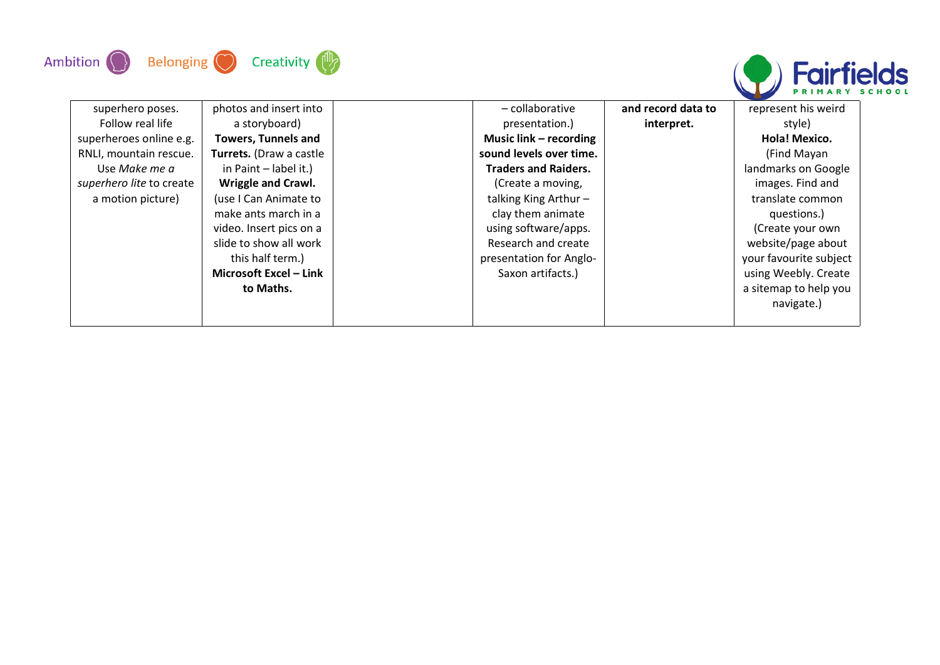



| superhero poses.         | photos and insert into     | - collaborative             | and record data to | represent his weird    |
|--------------------------|----------------------------|-----------------------------|--------------------|------------------------|
| Follow real life         | a storyboard)              | presentation.)              | interpret.         | style)                 |
| superheroes online e.g.  | <b>Towers, Tunnels and</b> | Music link - recording      |                    | Hola! Mexico.          |
| RNLI, mountain rescue.   | Turrets. (Draw a castle    | sound levels over time.     |                    | (Find Mayan            |
| Use Make me a            | in Paint - label it.)      | <b>Traders and Raiders.</b> |                    | landmarks on Google    |
| superhero lite to create | Wriggle and Crawl.         | (Create a moving,           |                    | images. Find and       |
| a motion picture)        | (use I Can Animate to      | talking King Arthur-        |                    | translate common       |
|                          | make ants march in a       | clay them animate           |                    | questions.)            |
|                          | video. Insert pics on a    | using software/apps.        |                    | (Create your own       |
|                          | slide to show all work     | Research and create         |                    | website/page about     |
|                          | this half term.)           | presentation for Anglo-     |                    | your favourite subject |
|                          | Microsoft Excel - Link     | Saxon artifacts.)           |                    | using Weebly. Create   |
|                          | to Maths.                  |                             |                    | a sitemap to help you  |
|                          |                            |                             |                    | navigate.)             |
|                          |                            |                             |                    |                        |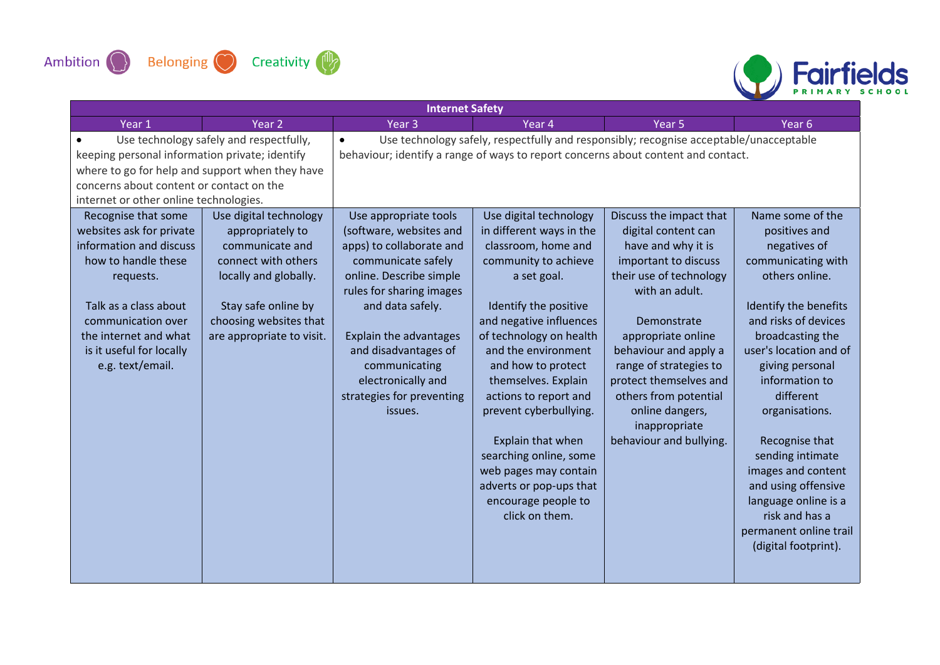



| <b>Internet Safety</b>                                                                                                                                                                                                                                                              |                                                                                                                                                                   |                                                                                                                                                                                                                                                                                       |                                                                                                                                                                                                                                                                                                                                                                                                                                          |                                                                                                                                                                                                                                                                                                                          |                                                                                                                                                                                                                                                                                                                                                                                                                         |  |
|-------------------------------------------------------------------------------------------------------------------------------------------------------------------------------------------------------------------------------------------------------------------------------------|-------------------------------------------------------------------------------------------------------------------------------------------------------------------|---------------------------------------------------------------------------------------------------------------------------------------------------------------------------------------------------------------------------------------------------------------------------------------|------------------------------------------------------------------------------------------------------------------------------------------------------------------------------------------------------------------------------------------------------------------------------------------------------------------------------------------------------------------------------------------------------------------------------------------|--------------------------------------------------------------------------------------------------------------------------------------------------------------------------------------------------------------------------------------------------------------------------------------------------------------------------|-------------------------------------------------------------------------------------------------------------------------------------------------------------------------------------------------------------------------------------------------------------------------------------------------------------------------------------------------------------------------------------------------------------------------|--|
| Year 1                                                                                                                                                                                                                                                                              | Year <sub>2</sub>                                                                                                                                                 | Year <sub>3</sub>                                                                                                                                                                                                                                                                     | Year 4                                                                                                                                                                                                                                                                                                                                                                                                                                   | Year <sub>5</sub>                                                                                                                                                                                                                                                                                                        | Year <sub>6</sub>                                                                                                                                                                                                                                                                                                                                                                                                       |  |
| Use technology safely and respectfully,<br>keeping personal information private; identify<br>where to go for help and support when they have<br>concerns about content or contact on the<br>internet or other online technologies.<br>Use digital technology<br>Recognise that some |                                                                                                                                                                   | $\bullet$<br>behaviour; identify a range of ways to report concerns about content and contact.<br>Use appropriate tools                                                                                                                                                               | Use technology safely, respectfully and responsibly; recognise acceptable/unacceptable<br>Use digital technology                                                                                                                                                                                                                                                                                                                         | Discuss the impact that                                                                                                                                                                                                                                                                                                  | Name some of the                                                                                                                                                                                                                                                                                                                                                                                                        |  |
| websites ask for private<br>information and discuss<br>how to handle these<br>requests.<br>Talk as a class about<br>communication over<br>the internet and what<br>is it useful for locally<br>e.g. text/email.                                                                     | appropriately to<br>communicate and<br>connect with others<br>locally and globally.<br>Stay safe online by<br>choosing websites that<br>are appropriate to visit. | (software, websites and<br>apps) to collaborate and<br>communicate safely<br>online. Describe simple<br>rules for sharing images<br>and data safely.<br>Explain the advantages<br>and disadvantages of<br>communicating<br>electronically and<br>strategies for preventing<br>issues. | in different ways in the<br>classroom, home and<br>community to achieve<br>a set goal.<br>Identify the positive<br>and negative influences<br>of technology on health<br>and the environment<br>and how to protect<br>themselves. Explain<br>actions to report and<br>prevent cyberbullying.<br>Explain that when<br>searching online, some<br>web pages may contain<br>adverts or pop-ups that<br>encourage people to<br>click on them. | digital content can<br>have and why it is<br>important to discuss<br>their use of technology<br>with an adult.<br>Demonstrate<br>appropriate online<br>behaviour and apply a<br>range of strategies to<br>protect themselves and<br>others from potential<br>online dangers,<br>inappropriate<br>behaviour and bullying. | positives and<br>negatives of<br>communicating with<br>others online.<br>Identify the benefits<br>and risks of devices<br>broadcasting the<br>user's location and of<br>giving personal<br>information to<br>different<br>organisations.<br>Recognise that<br>sending intimate<br>images and content<br>and using offensive<br>language online is a<br>risk and has a<br>permanent online trail<br>(digital footprint). |  |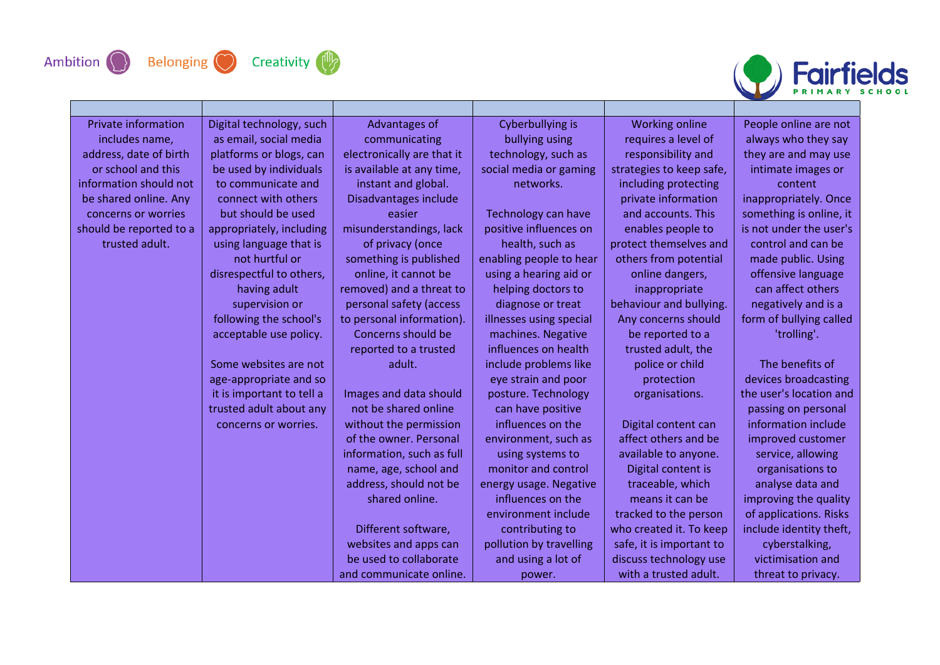

П







| <b>Private information</b> | Digital technology, such  | Advantages of              | Cyberbullying is        | <b>Working online</b>    | People online are not   |
|----------------------------|---------------------------|----------------------------|-------------------------|--------------------------|-------------------------|
| includes name,             | as email, social media    | communicating              | bullying using          | requires a level of      | always who they say     |
| address, date of birth     | platforms or blogs, can   | electronically are that it | technology, such as     | responsibility and       | they are and may use    |
| or school and this         | be used by individuals    | is available at any time,  | social media or gaming  | strategies to keep safe, | intimate images or      |
| information should not     | to communicate and        | instant and global.        | networks.               | including protecting     | content                 |
| be shared online. Any      | connect with others       | Disadvantages include      |                         | private information      | inappropriately. Once   |
| concerns or worries        | but should be used        | easier                     | Technology can have     | and accounts. This       | something is online, it |
| should be reported to a    | appropriately, including  | misunderstandings, lack    | positive influences on  | enables people to        | is not under the user's |
| trusted adult.             | using language that is    | of privacy (once           | health, such as         | protect themselves and   | control and can be      |
|                            | not hurtful or            | something is published     | enabling people to hear | others from potential    | made public. Using      |
|                            | disrespectful to others,  | online, it cannot be       | using a hearing aid or  | online dangers,          | offensive language      |
|                            | having adult              | removed) and a threat to   | helping doctors to      | inappropriate            | can affect others       |
|                            | supervision or            | personal safety (access    | diagnose or treat       | behaviour and bullying.  | negatively and is a     |
|                            | following the school's    | to personal information).  | illnesses using special | Any concerns should      | form of bullying called |
|                            | acceptable use policy.    | Concerns should be         | machines. Negative      | be reported to a         | 'trolling'.             |
|                            |                           | reported to a trusted      | influences on health    | trusted adult, the       |                         |
|                            | Some websites are not     | adult.                     | include problems like   | police or child          | The benefits of         |
|                            | age-appropriate and so    |                            | eye strain and poor     | protection               | devices broadcasting    |
|                            | it is important to tell a | Images and data should     | posture. Technology     | organisations.           | the user's location and |
|                            | trusted adult about any   | not be shared online       | can have positive       |                          | passing on personal     |
|                            | concerns or worries.      | without the permission     | influences on the       | Digital content can      | information include     |
|                            |                           | of the owner. Personal     | environment, such as    | affect others and be     | improved customer       |
|                            |                           | information, such as full  | using systems to        | available to anyone.     | service, allowing       |
|                            |                           | name, age, school and      | monitor and control     | Digital content is       | organisations to        |
|                            |                           | address, should not be     | energy usage. Negative  | traceable, which         | analyse data and        |
|                            |                           | shared online.             | influences on the       | means it can be          | improving the quality   |
|                            |                           |                            | environment include     | tracked to the person    | of applications. Risks  |
|                            |                           | Different software,        | contributing to         | who created it. To keep  | include identity theft, |
|                            |                           | websites and apps can      | pollution by travelling | safe, it is important to | cyberstalking,          |
|                            |                           | be used to collaborate     | and using a lot of      | discuss technology use   | victimisation and       |
|                            |                           | and communicate online.    | power.                  | with a trusted adult.    | threat to privacy.      |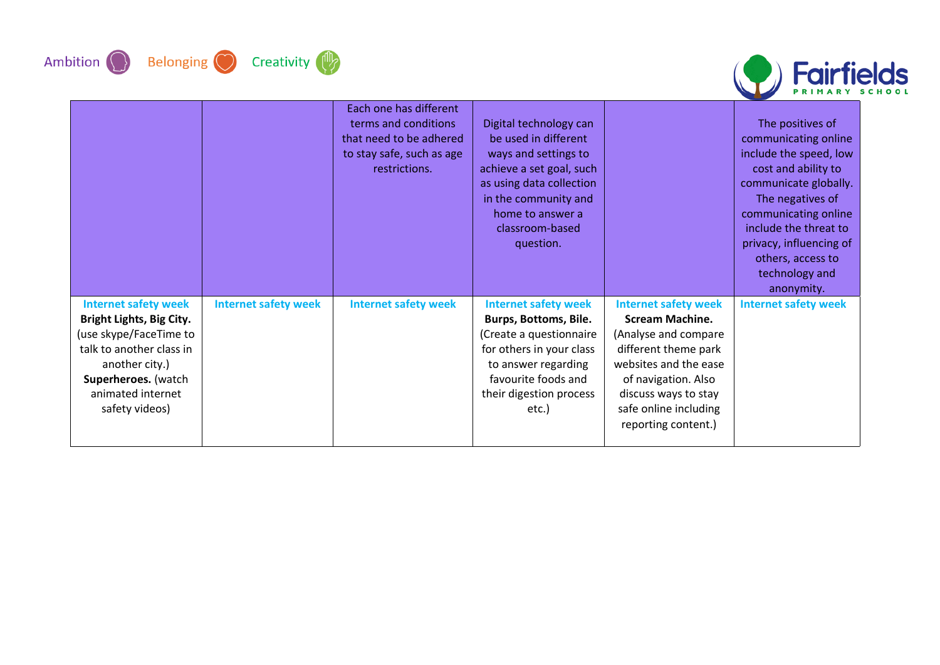







|                                                                                                                                                                                               |                             | Each one has different<br>terms and conditions<br>that need to be adhered<br>to stay safe, such as age<br>restrictions. | Digital technology can<br>be used in different<br>ways and settings to<br>achieve a set goal, such<br>as using data collection<br>in the community and<br>home to answer a<br>classroom-based<br>question. |                                                                                                                                                                                                                               | The positives of<br>communicating online<br>include the speed, low<br>cost and ability to<br>communicate globally.<br>The negatives of<br>communicating online<br>include the threat to<br>privacy, influencing of<br>others, access to<br>technology and<br>anonymity. |
|-----------------------------------------------------------------------------------------------------------------------------------------------------------------------------------------------|-----------------------------|-------------------------------------------------------------------------------------------------------------------------|------------------------------------------------------------------------------------------------------------------------------------------------------------------------------------------------------------|-------------------------------------------------------------------------------------------------------------------------------------------------------------------------------------------------------------------------------|-------------------------------------------------------------------------------------------------------------------------------------------------------------------------------------------------------------------------------------------------------------------------|
| <b>Internet safety week</b><br>Bright Lights, Big City.<br>(use skype/FaceTime to<br>talk to another class in<br>another city.)<br>Superheroes. (watch<br>animated internet<br>safety videos) | <b>Internet safety week</b> | <b>Internet safety week</b>                                                                                             | <b>Internet safety week</b><br><b>Burps, Bottoms, Bile.</b><br>(Create a questionnaire<br>for others in your class<br>to answer regarding<br>favourite foods and<br>their digestion process<br>etc.)       | <b>Internet safety week</b><br><b>Scream Machine.</b><br>(Analyse and compare<br>different theme park<br>websites and the ease<br>of navigation. Also<br>discuss ways to stay<br>safe online including<br>reporting content.) | <b>Internet safety week</b>                                                                                                                                                                                                                                             |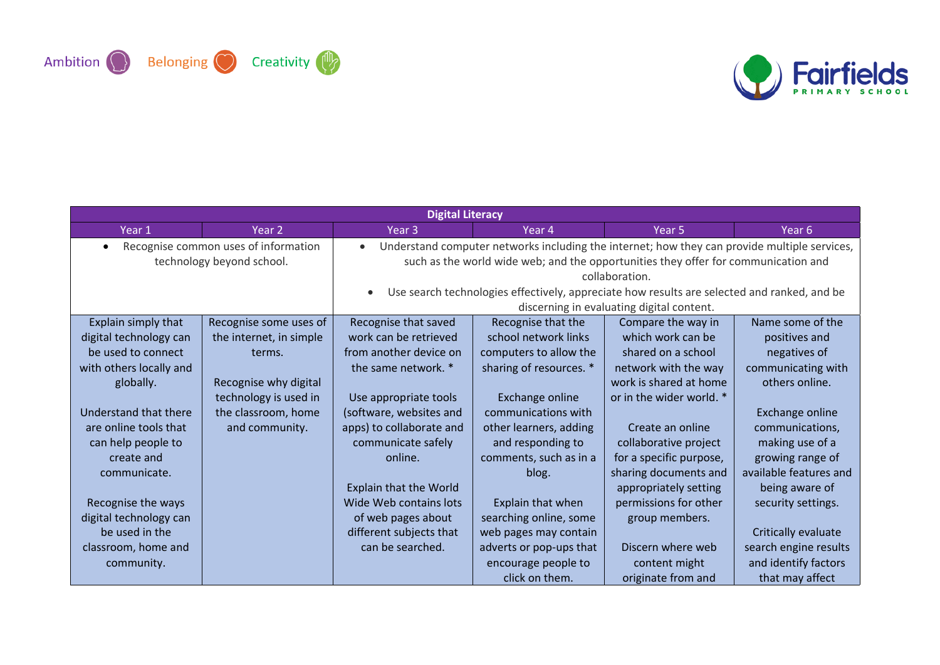



| <b>Digital Literacy</b>                                           |                         |                                                                                                                                                                                                                                                                                                                                                               |                         |                          |                        |  |  |
|-------------------------------------------------------------------|-------------------------|---------------------------------------------------------------------------------------------------------------------------------------------------------------------------------------------------------------------------------------------------------------------------------------------------------------------------------------------------------------|-------------------------|--------------------------|------------------------|--|--|
| Year 1                                                            | Year 2                  | Year <sub>3</sub><br>Year <sub>5</sub><br>Year 6<br>Year 4                                                                                                                                                                                                                                                                                                    |                         |                          |                        |  |  |
| Recognise common uses of information<br>technology beyond school. |                         | Understand computer networks including the internet; how they can provide multiple services,<br>$\bullet$<br>such as the world wide web; and the opportunities they offer for communication and<br>collaboration.<br>Use search technologies effectively, appreciate how results are selected and ranked, and be<br>discerning in evaluating digital content. |                         |                          |                        |  |  |
| Explain simply that                                               | Recognise some uses of  | Recognise that saved                                                                                                                                                                                                                                                                                                                                          | Recognise that the      | Compare the way in       | Name some of the       |  |  |
| digital technology can                                            | the internet, in simple | work can be retrieved                                                                                                                                                                                                                                                                                                                                         | school network links    | which work can be        | positives and          |  |  |
| be used to connect                                                | terms.                  | from another device on                                                                                                                                                                                                                                                                                                                                        | computers to allow the  | shared on a school       | negatives of           |  |  |
| with others locally and                                           |                         | the same network. *                                                                                                                                                                                                                                                                                                                                           | sharing of resources. * | network with the way     | communicating with     |  |  |
| globally.                                                         | Recognise why digital   |                                                                                                                                                                                                                                                                                                                                                               |                         | work is shared at home   | others online.         |  |  |
|                                                                   | technology is used in   | Use appropriate tools                                                                                                                                                                                                                                                                                                                                         | Exchange online         | or in the wider world. * |                        |  |  |
| Understand that there                                             | the classroom, home     | (software, websites and                                                                                                                                                                                                                                                                                                                                       | communications with     |                          | Exchange online        |  |  |
| are online tools that                                             | and community.          | apps) to collaborate and                                                                                                                                                                                                                                                                                                                                      | other learners, adding  | Create an online         | communications,        |  |  |
| can help people to                                                |                         | communicate safely                                                                                                                                                                                                                                                                                                                                            | and responding to       | collaborative project    | making use of a        |  |  |
| create and                                                        |                         | online.                                                                                                                                                                                                                                                                                                                                                       | comments, such as in a  | for a specific purpose,  | growing range of       |  |  |
| communicate.                                                      |                         |                                                                                                                                                                                                                                                                                                                                                               | blog.                   | sharing documents and    | available features and |  |  |
|                                                                   |                         | <b>Explain that the World</b>                                                                                                                                                                                                                                                                                                                                 |                         | appropriately setting    | being aware of         |  |  |
| Recognise the ways                                                |                         | Wide Web contains lots                                                                                                                                                                                                                                                                                                                                        | Explain that when       | permissions for other    | security settings.     |  |  |
| digital technology can                                            |                         | of web pages about                                                                                                                                                                                                                                                                                                                                            | searching online, some  | group members.           |                        |  |  |
| be used in the                                                    |                         | different subjects that                                                                                                                                                                                                                                                                                                                                       | web pages may contain   |                          | Critically evaluate    |  |  |
| classroom, home and                                               |                         | can be searched.                                                                                                                                                                                                                                                                                                                                              | adverts or pop-ups that | Discern where web        | search engine results  |  |  |
| community.                                                        |                         |                                                                                                                                                                                                                                                                                                                                                               | encourage people to     | content might            | and identify factors   |  |  |
|                                                                   |                         |                                                                                                                                                                                                                                                                                                                                                               | click on them.          | originate from and       | that may affect        |  |  |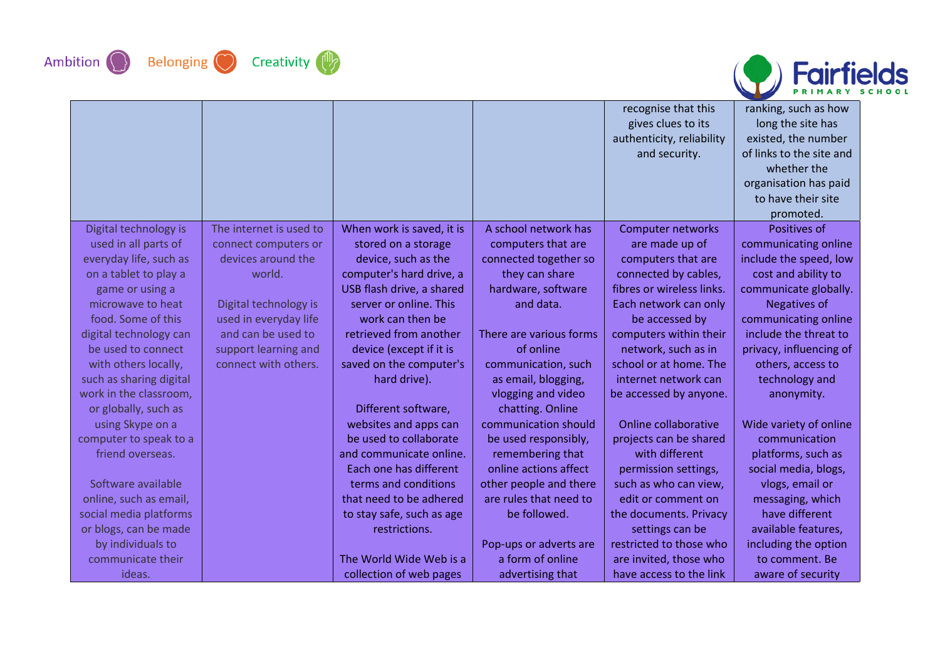







|                         |                         |                           |                         | recognise that this       | ranking, such as how      |
|-------------------------|-------------------------|---------------------------|-------------------------|---------------------------|---------------------------|
|                         |                         |                           |                         | gives clues to its        | long the site has         |
|                         |                         |                           |                         | authenticity, reliability | existed, the number       |
|                         |                         |                           |                         | and security.             | of links to the site and  |
|                         |                         |                           |                         |                           | whether the               |
|                         |                         |                           |                         |                           | organisation has paid     |
|                         |                         |                           |                         |                           | to have their site        |
| Digital technology is   | The internet is used to | When work is saved, it is | A school network has    | <b>Computer networks</b>  | promoted.<br>Positives of |
| used in all parts of    | connect computers or    | stored on a storage       | computers that are      | are made up of            | communicating online      |
| everyday life, such as  | devices around the      | device, such as the       | connected together so   | computers that are        | include the speed, low    |
| on a tablet to play a   | world.                  | computer's hard drive, a  | they can share          | connected by cables,      | cost and ability to       |
| game or using a         |                         | USB flash drive, a shared | hardware, software      | fibres or wireless links. | communicate globally.     |
| microwave to heat       | Digital technology is   | server or online. This    | and data.               | Each network can only     | Negatives of              |
| food. Some of this      | used in everyday life   | work can then be          |                         | be accessed by            | communicating online      |
| digital technology can  | and can be used to      | retrieved from another    | There are various forms | computers within their    | include the threat to     |
| be used to connect      | support learning and    | device (except if it is   | of online               | network, such as in       | privacy, influencing of   |
| with others locally,    | connect with others.    | saved on the computer's   | communication, such     | school or at home. The    | others, access to         |
| such as sharing digital |                         | hard drive).              | as email, blogging,     | internet network can      | technology and            |
| work in the classroom,  |                         |                           | vlogging and video      | be accessed by anyone.    | anonymity.                |
| or globally, such as    |                         | Different software,       | chatting. Online        |                           |                           |
| using Skype on a        |                         | websites and apps can     | communication should    | Online collaborative      | Wide variety of online    |
| computer to speak to a  |                         | be used to collaborate    | be used responsibly,    | projects can be shared    | communication             |
| friend overseas.        |                         | and communicate online.   | remembering that        | with different            | platforms, such as        |
|                         |                         | Each one has different    | online actions affect   | permission settings,      | social media, blogs,      |
| Software available      |                         | terms and conditions      | other people and there  | such as who can view,     | vlogs, email or           |
| online, such as email,  |                         | that need to be adhered   | are rules that need to  | edit or comment on        | messaging, which          |
| social media platforms  |                         | to stay safe, such as age | be followed.            | the documents. Privacy    | have different            |
| or blogs, can be made   |                         | restrictions.             |                         | settings can be           | available features,       |
| by individuals to       |                         |                           | Pop-ups or adverts are  | restricted to those who   | including the option      |
| communicate their       |                         | The World Wide Web is a   | a form of online        | are invited, those who    | to comment. Be            |
| ideas.                  |                         | collection of web pages   | advertising that        | have access to the link   | aware of security         |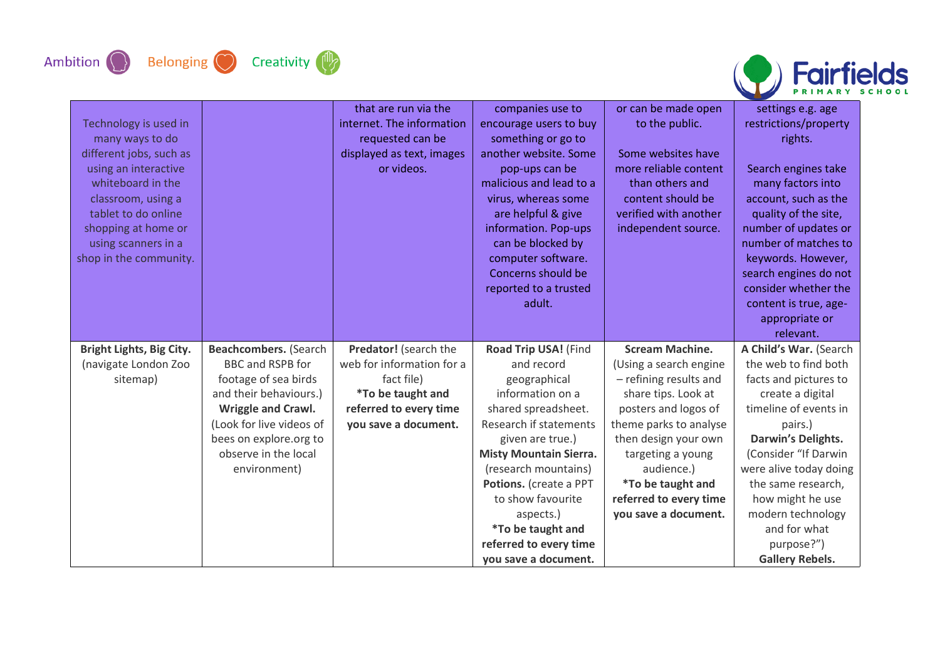





| Technology is used in<br>many ways to do<br>different jobs, such as<br>using an interactive<br>whiteboard in the<br>classroom, using a<br>tablet to do online<br>shopping at home or<br>using scanners in a<br>shop in the community. |                                                                                                                                                                                                                        | that are run via the<br>internet. The information<br>requested can be<br>displayed as text, images<br>or videos.                               | companies use to<br>encourage users to buy<br>something or go to<br>another website. Some<br>pop-ups can be<br>malicious and lead to a<br>virus, whereas some<br>are helpful & give<br>information. Pop-ups<br>can be blocked by<br>computer software.<br>Concerns should be<br>reported to a trusted<br>adult.                                | or can be made open<br>to the public.<br>Some websites have<br>more reliable content<br>than others and<br>content should be<br>verified with another<br>independent source.                                                                                                                 | settings e.g. age<br>restrictions/property<br>rights.<br>Search engines take<br>many factors into<br>account, such as the<br>quality of the site,<br>number of updates or<br>number of matches to<br>keywords. However,<br>search engines do not<br>consider whether the<br>content is true, age-<br>appropriate or<br>relevant. |
|---------------------------------------------------------------------------------------------------------------------------------------------------------------------------------------------------------------------------------------|------------------------------------------------------------------------------------------------------------------------------------------------------------------------------------------------------------------------|------------------------------------------------------------------------------------------------------------------------------------------------|------------------------------------------------------------------------------------------------------------------------------------------------------------------------------------------------------------------------------------------------------------------------------------------------------------------------------------------------|----------------------------------------------------------------------------------------------------------------------------------------------------------------------------------------------------------------------------------------------------------------------------------------------|----------------------------------------------------------------------------------------------------------------------------------------------------------------------------------------------------------------------------------------------------------------------------------------------------------------------------------|
| Bright Lights, Big City.<br>(navigate London Zoo<br>sitemap)                                                                                                                                                                          | Beachcombers. (Search<br>BBC and RSPB for<br>footage of sea birds<br>and their behaviours.)<br><b>Wriggle and Crawl.</b><br>(Look for live videos of<br>bees on explore.org to<br>observe in the local<br>environment) | Predator! (search the<br>web for information for a<br>fact file)<br><i>*To be taught and</i><br>referred to every time<br>you save a document. | Road Trip USA! (Find<br>and record<br>geographical<br>information on a<br>shared spreadsheet.<br>Research if statements<br>given are true.)<br><b>Misty Mountain Sierra.</b><br>(research mountains)<br>Potions. (create a PPT<br>to show favourite<br>aspects.)<br><i>*To be taught and</i><br>referred to every time<br>you save a document. | <b>Scream Machine.</b><br>(Using a search engine<br>- refining results and<br>share tips. Look at<br>posters and logos of<br>theme parks to analyse<br>then design your own<br>targeting a young<br>audience.)<br><i>*To be taught and</i><br>referred to every time<br>you save a document. | A Child's War. (Search<br>the web to find both<br>facts and pictures to<br>create a digital<br>timeline of events in<br>pairs.)<br>Darwin's Delights.<br>(Consider "If Darwin<br>were alive today doing<br>the same research,<br>how might he use<br>modern technology<br>and for what<br>purpose?")<br><b>Gallery Rebels.</b>   |